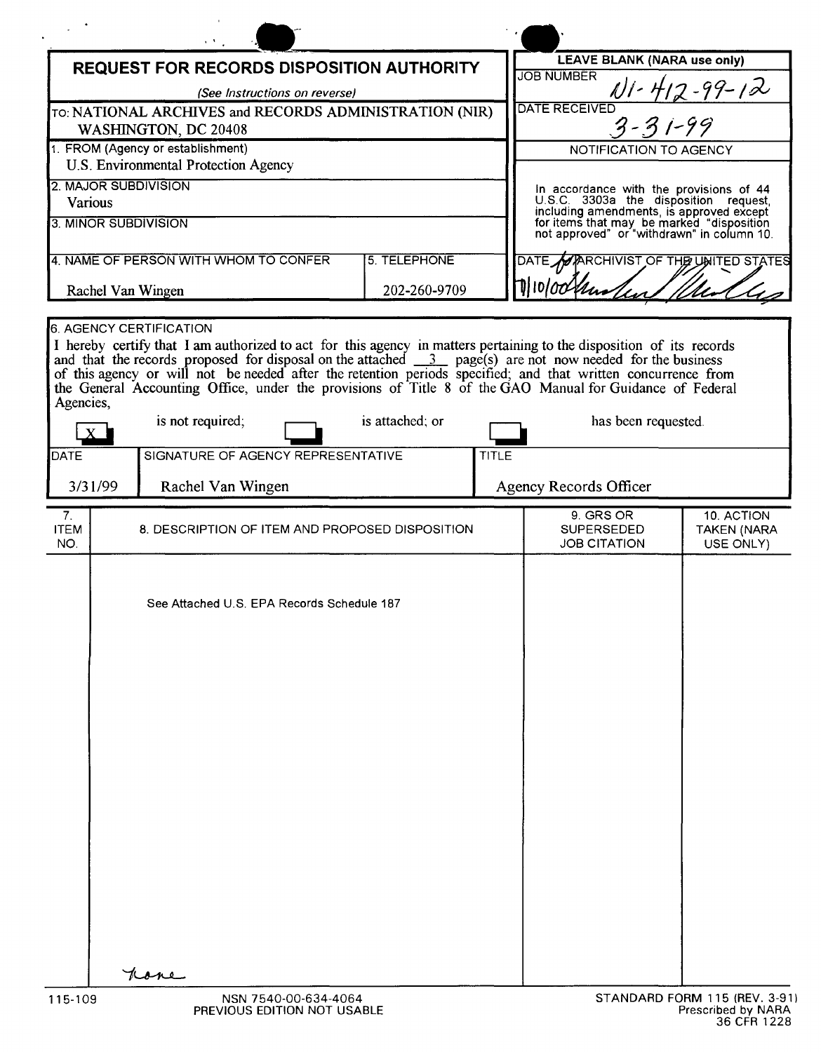| <b>REQUEST FOR RECORDS DISPOSITION AUTHORITY</b>                               |                                                                                                                                                                                                                                                                                                                                                                                                                                                                                                                                     |                                                                                                                                                                              |                                       | <b>LEAVE BLANK (NARA use only)</b><br><b>JOB NUMBER</b> |                                               |  |
|--------------------------------------------------------------------------------|-------------------------------------------------------------------------------------------------------------------------------------------------------------------------------------------------------------------------------------------------------------------------------------------------------------------------------------------------------------------------------------------------------------------------------------------------------------------------------------------------------------------------------------|------------------------------------------------------------------------------------------------------------------------------------------------------------------------------|---------------------------------------|---------------------------------------------------------|-----------------------------------------------|--|
| (See Instructions on reverse)                                                  |                                                                                                                                                                                                                                                                                                                                                                                                                                                                                                                                     |                                                                                                                                                                              |                                       |                                                         | 11-412-99-12                                  |  |
| TO: NATIONAL ARCHIVES and RECORDS ADMINISTRATION (NIR)<br>WASHINGTON, DC 20408 |                                                                                                                                                                                                                                                                                                                                                                                                                                                                                                                                     |                                                                                                                                                                              | <b>DATE RECEIVED</b><br>$3 - 31 - 99$ |                                                         |                                               |  |
| 1. FROM (Agency or establishment)                                              |                                                                                                                                                                                                                                                                                                                                                                                                                                                                                                                                     |                                                                                                                                                                              | NOTIFICATION TO AGENCY                |                                                         |                                               |  |
| U.S. Environmental Protection Agency                                           |                                                                                                                                                                                                                                                                                                                                                                                                                                                                                                                                     |                                                                                                                                                                              |                                       |                                                         |                                               |  |
| 2. MAJOR SUBDIVISION<br>Various                                                |                                                                                                                                                                                                                                                                                                                                                                                                                                                                                                                                     |                                                                                                                                                                              |                                       | In accordance with the provisions of 44                 |                                               |  |
|                                                                                | 3. MINOR SUBDIVISION                                                                                                                                                                                                                                                                                                                                                                                                                                                                                                                | U.S.C. 3303a the disposition request,<br>including amendments, is approved except<br>for items that may be marked "disposition<br>not approved" or "withdrawn" in column 10. |                                       |                                                         |                                               |  |
|                                                                                | 4. NAME OF PERSON WITH WHOM TO CONFER                                                                                                                                                                                                                                                                                                                                                                                                                                                                                               | 5. TELEPHONE                                                                                                                                                                 |                                       | DATE M<br><b>ARCHIVIST OF THE UNITED STATES</b>         |                                               |  |
|                                                                                | Rachel Van Wingen                                                                                                                                                                                                                                                                                                                                                                                                                                                                                                                   | 202-260-9709                                                                                                                                                                 |                                       | $711000$ Was                                            |                                               |  |
|                                                                                | <b>6. AGENCY CERTIFICATION</b>                                                                                                                                                                                                                                                                                                                                                                                                                                                                                                      |                                                                                                                                                                              |                                       |                                                         |                                               |  |
| Agencies,<br>$\mathbf{X}$<br><b>DATE</b>                                       | I hereby certify that I am authorized to act for this agency in matters pertaining to the disposition of its records<br>and that the records proposed for disposal on the attached $\frac{3}{2}$ page(s) are not now needed for the business<br>of this agency or will not be needed after the retention periods specified; and that written concurrence from<br>the General Accounting Office, under the provisions of Title 8 of the GAO Manual for Guidance of Federal<br>is not required;<br>SIGNATURE OF AGENCY REPRESENTATIVE | is attached; or                                                                                                                                                              | TITLE                                 | has been requested.                                     |                                               |  |
| 3/31/99                                                                        | Rachel Van Wingen                                                                                                                                                                                                                                                                                                                                                                                                                                                                                                                   |                                                                                                                                                                              |                                       | Agency Records Officer                                  |                                               |  |
| 7 <sub>1</sub><br><b>ITEM</b><br>NO.                                           | 8. DESCRIPTION OF ITEM AND PROPOSED DISPOSITION                                                                                                                                                                                                                                                                                                                                                                                                                                                                                     |                                                                                                                                                                              |                                       | 9. GRS OR<br><b>SUPERSEDED</b><br><b>JOB CITATION</b>   | 10. ACTION<br><b>TAKEN (NARA</b><br>USE ONLY) |  |
|                                                                                | See Attached U.S. EPA Records Schedule 187<br>hove                                                                                                                                                                                                                                                                                                                                                                                                                                                                                  |                                                                                                                                                                              |                                       |                                                         |                                               |  |
| 115-109                                                                        | NSN 7540-00-634-4064                                                                                                                                                                                                                                                                                                                                                                                                                                                                                                                |                                                                                                                                                                              |                                       |                                                         | STANDARD FORM 115 (REV. 3-91                  |  |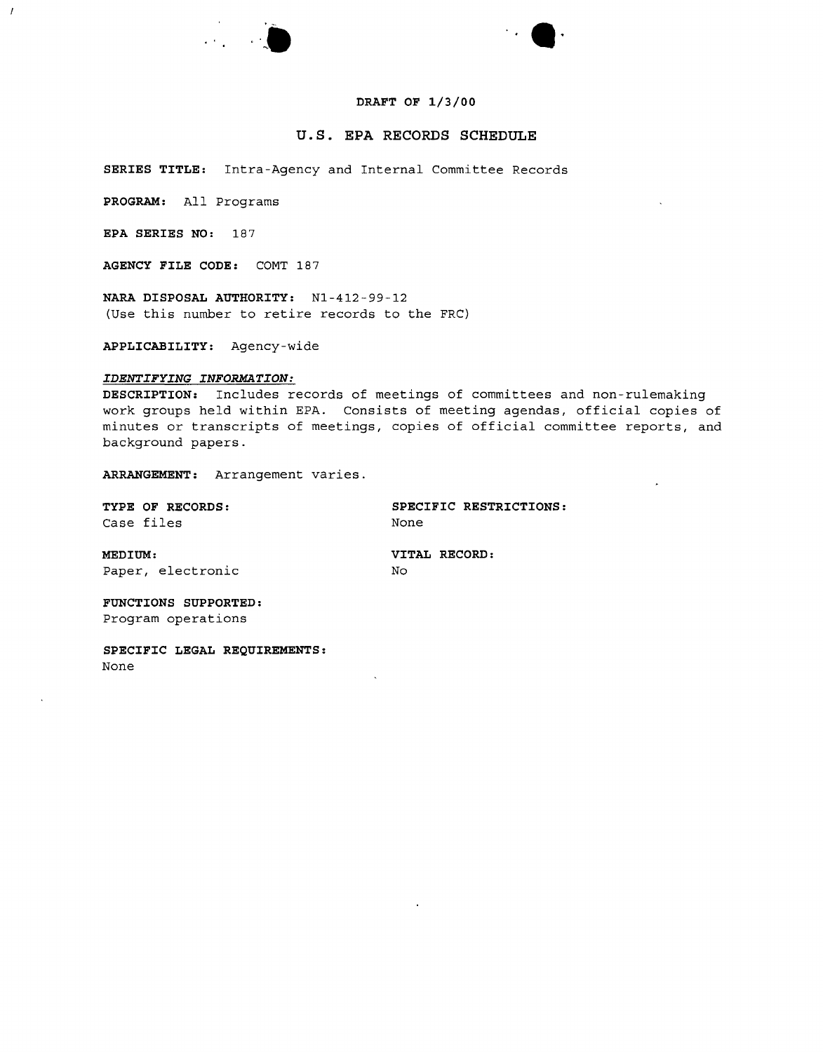



# **DRAFT OF 1/3/00**

# **U.S. EPA RECORDS SCHEDULE**

**SERIES TITLE:** Intra-Agency and Internal Committee Records

**PROGRAM:** All Programs

**EPA SERIES NO:** 187

 $\overline{I}$ 

**AGENCY FILE CODE:** COMT 187

**NARA DISPOSAL AUTHORITY:** N1-412-99-12 (Use this number to retire records to the FRC)

**APPLICABILITY:** Agency-wide

## *IDENTIFYING INFORMATION:*

**DESCRIPTION:** Includes records of meetings of committees and non-rulemaking work groups held within EPA. Consists of meeting agendas, official copies of minutes or transcripts of meetings, copies of official committee reports, and background papers.

**ARRANGEMENT:** Arrangement varies.

Case files None

**TYPE OF RECORDS: SPECIFIC RESTRICTIONS:**

**MEDIUM: VITAL RECORD:** Paper, electronic No

**FUNCTIONS SUPPORTED:** Program operations

**SPECIFIC LEGAL REQUIREMENTS:** None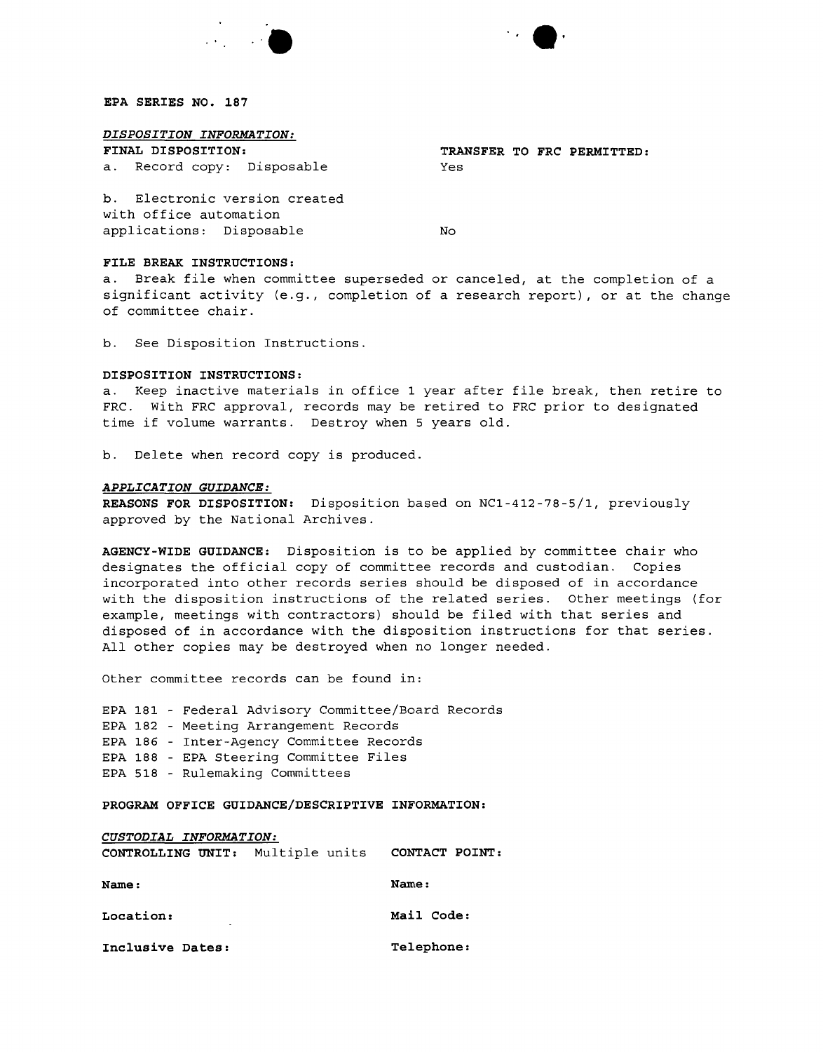



#### **EPA SERIES NO. 187**

### *DISPOSITION INFORMATION:*

a. Record copy: Disposable Yes

**FINAL DISPOSITION: TRANSFER TO FRC PERMITTED:**

b. Electronic version created with office automation applications: Disposable No

### **FILE BREAK INSTRUCTIONS:**

a. Break file when committee superseded or canceled, at the completion of a significant activity (e.g., completion of a research report), or at the change of committee chair.

b. See Disposition Instructions.

## **DISPOSITION INSTRUCTIONS:**

a. Keep inactive materials in office 1 year after file break, then retire to FRC. with FRC approval, records may be retired to FRC prior to designated time if volume warrants. Destroy when 5 years old.

b. Delete when record copy is produced.

#### *APPLICATION GUIDANCE:*

**REASONS FOR DISPOSITION:** Disposition based on NCl-412-78-5/1, previously approved by the National Archives.

**AGENCY-WIDE GUIDANCE:** Disposition is to be applied by committee chair who designates the official copy of committee records and custodian. Copies incorporated into other records series should be disposed of in accordance with the disposition instructions of the related series. Other meetings (for example, meetings with contractors) should be filed with that series and disposed of in accordance with the disposition instructions for that series. All other copies may be destroyed when no longer needed.

Other committee records can be found in:

EPA 181 - Federal Advisory Committee/Board Records EPA 182 - Meeting Arrangement Records EPA 186 - Inter-Agency Committee Records EPA 188 - EPA Steering Committee Files EPA 518 - Rulemaking Committees

# **PROGRAM OFFICE GUIDANCE/DESCRIPTIVE INFORMATION:**

*CUSTODIAL INFORMATION:* **CONTROLLING UNIT:** Multiple units **CONTACT POINT:**

| Name:            | Name:      |
|------------------|------------|
| Location:<br>۰   | Mail Code: |
| Inclusive Dates: | Telephone: |